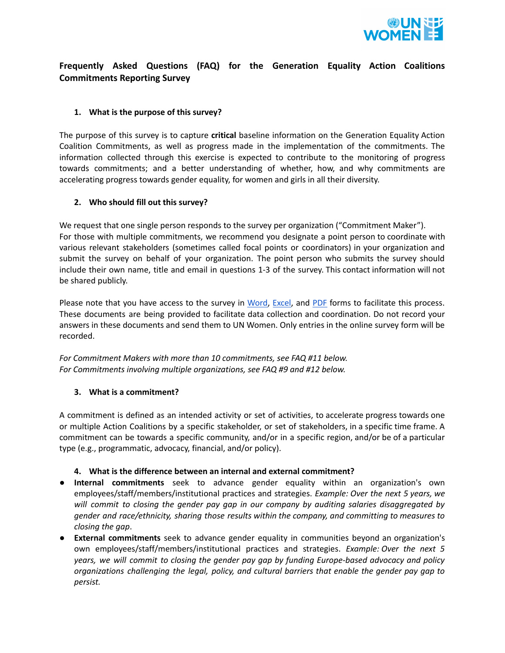

# **Frequently Asked Questions (FAQ) for the Generation Equality Action Coalitions Commitments Reporting Survey**

## **1. What is the purpose of this survey?**

The purpose of this survey is to capture **critical** baseline information on the Generation Equality Action Coalition Commitments, as well as progress made in the implementation of the commitments. The information collected through this exercise is expected to contribute to the monitoring of progress towards commitments; and a better understanding of whether, how, and why commitments are accelerating progress towards gender equality, for women and girls in all their diversity.

### **2. Who should fill out this survey?**

We request that one single person responds to the survey per organization ("Commitment Maker"). For those with multiple commitments, we recommend you designate a point person to coordinate with various relevant stakeholders (sometimes called focal points or coordinators) in your organization and submit the survey on behalf of your organization. The point person who submits the survey should include their own name, title and email in questions 1-3 of the survey. This contact information will not be shared publicly.

Please note that you have access to the survey in [Word,](https://docs.google.com/document/d/1F2d-Wvfb15AxATJeT5kZqb2dACsXKCIo/edit?usp=sharing&ouid=109303777765151651219&rtpof=true&sd=true) [Excel](https://docs.google.com/spreadsheets/d/1klG2bNhZphdTC24OTiqCvYvM0y4vL8yR/edit?usp=sharing&ouid=109303777765151651219&rtpof=true&sd=true), and [PDF](https://drive.google.com/file/d/19bgRw9QvGR-pZD_BOpBDj3eOnBmf7yIt/view?usp=sharing) forms to facilitate this process. These documents are being provided to facilitate data collection and coordination. Do not record your answers in these documents and send them to UN Women. Only entries in the online survey form will be recorded.

*For Commitment Makers with more than 10 commitments, see FAQ #11 below. For Commitments involving multiple organizations, see FAQ #9 and #12 below.*

### **3. What is a commitment?**

A commitment is defined as an intended activity or set of activities, to accelerate progress towards one or multiple Action Coalitions by a specific stakeholder, or set of stakeholders, in a specific time frame. A commitment can be towards a specific community, and/or in a specific region, and/or be of a particular type (e.g., programmatic, advocacy, financial, and/or policy).

### **4. What is the difference between an internal and external commitment?**

- **Internal commitments** seek to advance gender equality within an organization's own employees/staff/members/institutional practices and strategies. *Example: Over the next 5 years, we will commit to closing the gender pay gap in our company by auditing salaries disaggregated by gender and race/ethnicity, sharing those results within the company, and committing to measures to closing the gap*.
- *●* **External commitments** seek to advance gender equality in communities beyond an organization's own employees/staff/members/institutional practices and strategies. *Example: Over the next 5 years, we will commit to closing the gender pay gap by funding Europe-based advocacy and policy organizations challenging the legal, policy, and cultural barriers that enable the gender pay gap to persist.*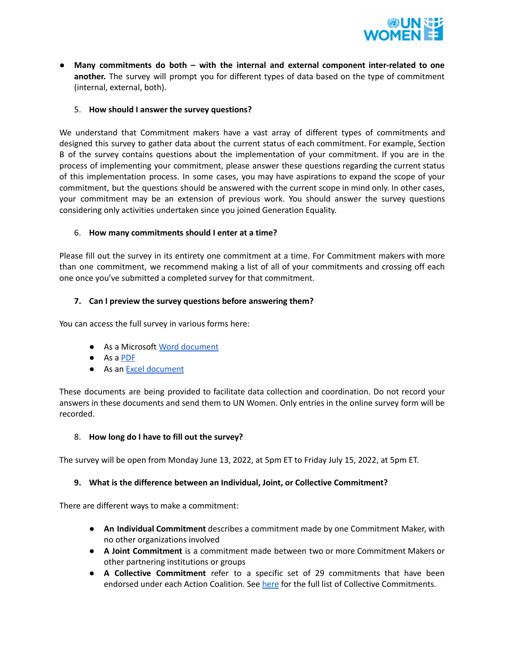

● **Many commitments do both – with the internal and external component inter-related to one another.** The survey will prompt you for different types of data based on the type of commitment (internal, external, both).

### 5. **How should I answer the survey questions?**

We understand that Commitment makers have a vast array of different types of commitments and designed this survey to gather data about the current status of each commitment. For example, Section B of the survey contains questions about the implementation of your commitment. If you are in the process of implementing your commitment, please answer these questions regarding the current status of this implementation process. In some cases, you may have aspirations to expand the scope of your commitment, but the questions should be answered with the current scope in mind only. In other cases, your commitment may be an extension of previous work. You should answer the survey questions considering only activities undertaken since you joined Generation Equality.

### 6. **How many commitments should I enter at a time?**

Please fill out the survey in its entirety one commitment at a time. For Commitment makers with more than one commitment, we recommend making a list of all of your commitments and crossing off each one once you've submitted a completed survey for that commitment.

## **7. Can I preview the survey questions before answering them?**

You can access the full survey in various forms here:

- As a Microsoft Word [document](https://docs.google.com/document/d/1F2d-Wvfb15AxATJeT5kZqb2dACsXKCIo/edit?usp=sharing&ouid=109303777765151651219&rtpof=true&sd=true)
- As a [PDF](https://drive.google.com/file/d/19bgRw9QvGR-pZD_BOpBDj3eOnBmf7yIt/view?usp=sharing)
- As an Excel [document](https://docs.google.com/spreadsheets/d/1klG2bNhZphdTC24OTiqCvYvM0y4vL8yR/edit?usp=sharing&ouid=109303777765151651219&rtpof=true&sd=true)

These documents are being provided to facilitate data collection and coordination. Do not record your answers in these documents and send them to UN Women. Only entries in the online survey form will be recorded.

### 8. **How long do I have to fill out the survey?**

The survey will be open from Monday June 13, 2022, at 5pm ET to Friday July 15, 2022, at 5pm ET.

### **9. What is the difference between an Individual, Joint, or Collective Commitment?**

There are different ways to make a commitment:

- **An Individual Commitment** describes a commitment made by one Commitment Maker, with no other organizations involved
- **A Joint Commitment** is a commitment made between two or more Commitment Makers or other partnering institutions or groups
- **A Collective Commitment** refer to a specific set of 29 commitments that have been endorsed under each Action Coalition. See [here](https://drive.google.com/file/d/180ewOdAjzimoaCM6zAKfcRpJOHzejIw2/view?usp=sharing) for the full list of Collective Commitments.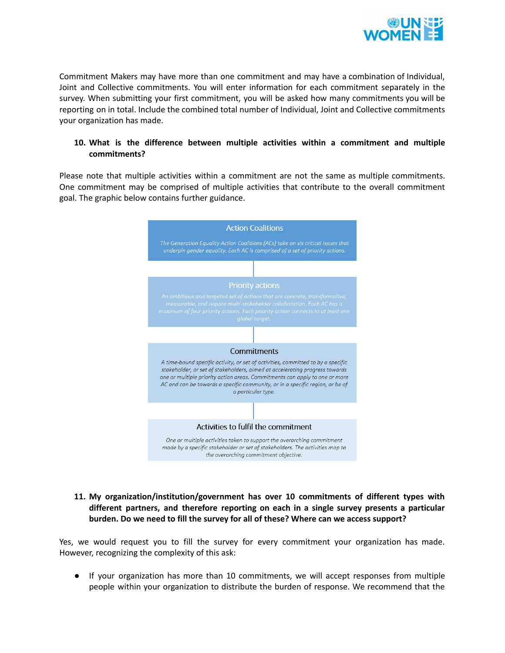

Commitment Makers may have more than one commitment and may have a combination of Individual, Joint and Collective commitments. You will enter information for each commitment separately in the survey. When submitting your first commitment, you will be asked how many commitments you will be reporting on in total. Include the combined total number of Individual, Joint and Collective commitments your organization has made.

### **10. What is the difference between multiple activities within a commitment and multiple commitments?**

Please note that multiple activities within a commitment are not the same as multiple commitments. One commitment may be comprised of multiple activities that contribute to the overall commitment goal. The graphic below contains further guidance.



### **11. My organization/institution/government has over 10 commitments of different types with different partners, and therefore reporting on each in a single survey presents a particular burden. Do we need to fill the survey for all of these? Where can we access support?**

Yes, we would request you to fill the survey for every commitment your organization has made. However, recognizing the complexity of this ask:

● If your organization has more than 10 commitments, we will accept responses from multiple people within your organization to distribute the burden of response. We recommend that the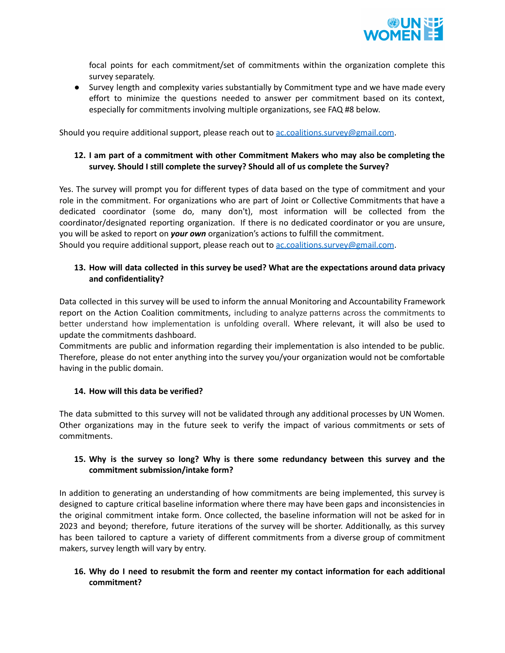

focal points for each commitment/set of commitments within the organization complete this survey separately.

● Survey length and complexity varies substantially by Commitment type and we have made every effort to minimize the questions needed to answer per commitment based on its context, especially for commitments involving multiple organizations, see FAQ #8 below.

Should you require additional support, please reach out to [ac.coalitions.survey@gmail.com](mailto:ac.coalitions.survey@gmail.com).

## **12. I am part of a commitment with other Commitment Makers who may also be completing the survey. Should I still complete the survey? Should all of us complete the Survey?**

Yes. The survey will prompt you for different types of data based on the type of commitment and your role in the commitment. For organizations who are part of Joint or Collective Commitments that have a dedicated coordinator (some do, many don't), most information will be collected from the coordinator/designated reporting organization. If there is no dedicated coordinator or you are unsure, you will be asked to report on *your own* organization's actions to fulfill the commitment. Should you require additional support, please reach out to [ac.coalitions.survey@gmail.com](mailto:ac.coalitions.survey@gmail.com).

## **13. How will data collected in this survey be used? What are the expectations around data privacy and confidentiality?**

Data collected in this survey will be used to inform the annual Monitoring and Accountability Framework report on the Action Coalition commitments, including to analyze patterns across the commitments to better understand how implementation is unfolding overall. Where relevant, it will also be used to update the commitments dashboard.

Commitments are public and information regarding their implementation is also intended to be public. Therefore, please do not enter anything into the survey you/your organization would not be comfortable having in the public domain.

## **14. How will this data be verified?**

The data submitted to this survey will not be validated through any additional processes by UN Women. Other organizations may in the future seek to verify the impact of various commitments or sets of commitments.

## **15. Why is the survey so long? Why is there some redundancy between this survey and the commitment submission/intake form?**

In addition to generating an understanding of how commitments are being implemented, this survey is designed to capture critical baseline information where there may have been gaps and inconsistencies in the original commitment intake form. Once collected, the baseline information will not be asked for in 2023 and beyond; therefore, future iterations of the survey will be shorter. Additionally, as this survey has been tailored to capture a variety of different commitments from a diverse group of commitment makers, survey length will vary by entry.

# **16. Why do I need to resubmit the form and reenter my contact information for each additional commitment?**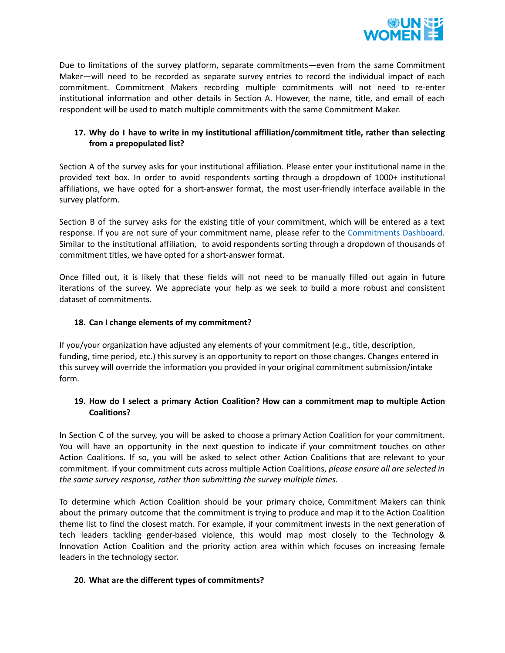

Due to limitations of the survey platform, separate commitments—even from the same Commitment Maker—will need to be recorded as separate survey entries to record the individual impact of each commitment. Commitment Makers recording multiple commitments will not need to re-enter institutional information and other details in Section A. However, the name, title, and email of each respondent will be used to match multiple commitments with the same Commitment Maker.

## **17. Why do I have to write in my institutional affiliation/commitment title, rather than selecting from a prepopulated list?**

Section A of the survey asks for your institutional affiliation. Please enter your institutional name in the provided text box. In order to avoid respondents sorting through a dropdown of 1000+ institutional affiliations, we have opted for a short-answer format, the most user-friendly interface available in the survey platform.

Section B of the survey asks for the existing title of your commitment, which will be entered as a text response. If you are not sure of your commitment name, please refer to the [Commitments](https://commitments.generationequality.org/dashboard/data) Dashboard. Similar to the institutional affiliation, to avoid respondents sorting through a dropdown of thousands of commitment titles, we have opted for a short-answer format.

Once filled out, it is likely that these fields will not need to be manually filled out again in future iterations of the survey. We appreciate your help as we seek to build a more robust and consistent dataset of commitments.

### **18. Can I change elements of my commitment?**

If you/your organization have adjusted any elements of your commitment (e.g., title, description, funding, time period, etc.) this survey is an opportunity to report on those changes. Changes entered in this survey will override the information you provided in your original commitment submission/intake form.

## **19. How do I select a primary Action Coalition? How can a commitment map to multiple Action Coalitions?**

In Section C of the survey, you will be asked to choose a primary Action Coalition for your commitment. You will have an opportunity in the next question to indicate if your commitment touches on other Action Coalitions. If so, you will be asked to select other Action Coalitions that are relevant to your commitment. If your commitment cuts across multiple Action Coalitions, *please ensure all are selected in the same survey response, rather than submitting the survey multiple times.*

To determine which Action Coalition should be your primary choice, Commitment Makers can think about the primary outcome that the commitment is trying to produce and map it to the Action Coalition theme list to find the closest match. For example, if your commitment invests in the next generation of tech leaders tackling gender-based violence, this would map most closely to the Technology & Innovation Action Coalition and the priority action area within which focuses on increasing female leaders in the technology sector.

### **20. What are the different types of commitments?**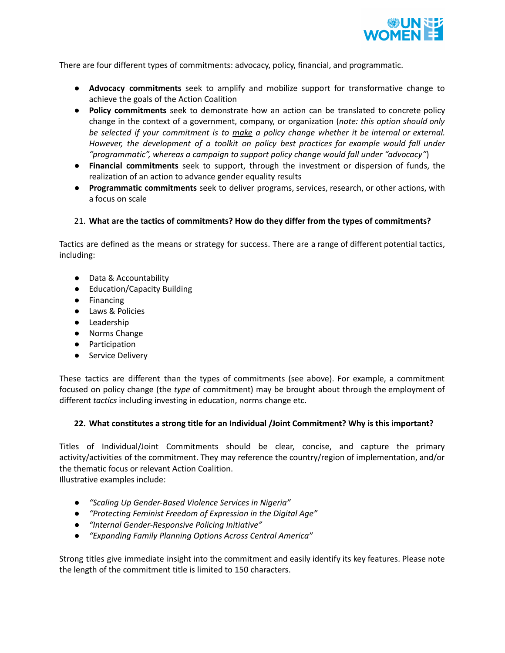

There are four different types of commitments: advocacy, policy, financial, and programmatic.

- **Advocacy commitments** seek to amplify and mobilize support for transformative change to achieve the goals of the Action Coalition
- **Policy commitments** seek to demonstrate how an action can be translated to concrete policy change in the context of a government, company, or organization (*note: this option should only be selected if your commitment is to make a policy change whether it be internal or external. However, the development of a toolkit on policy best practices for example would fall under "programmatic", whereas a campaign to support policy change would fall under "advocacy"*)
- **Financial commitments** seek to support, through the investment or dispersion of funds, the realization of an action to advance gender equality results
- **Programmatic commitments** seek to deliver programs, services, research, or other actions, with a focus on scale

### 21. **What are the tactics of commitments? How do they differ from the types of commitments?**

Tactics are defined as the means or strategy for success. There are a range of different potential tactics, including:

- Data & Accountability
- Education/Capacity Building
- Financing
- Laws & Policies
- Leadership
- Norms Change
- Participation
- Service Delivery

These tactics are different than the types of commitments (see above). For example, a commitment focused on policy change (the *type* of commitment) may be brought about through the employment of different *tactics* including investing in education, norms change etc.

### **22. What constitutes a strong title for an Individual /Joint Commitment? Why is this important?**

Titles of Individual/Joint Commitments should be clear, concise, and capture the primary activity/activities of the commitment. They may reference the country/region of implementation, and/or the thematic focus or relevant Action Coalition.

Illustrative examples include:

- *● "Scaling Up Gender-Based Violence Services in Nigeria"*
- *● "Protecting Feminist Freedom of Expression in the Digital Age"*
- *● "Internal Gender-Responsive Policing Initiative"*
- *● "Expanding Family Planning Options Across Central America"*

Strong titles give immediate insight into the commitment and easily identify its key features. Please note the length of the commitment title is limited to 150 characters.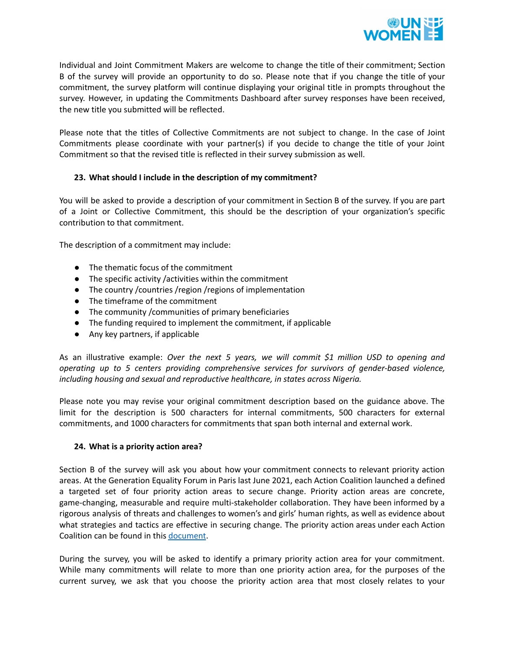

Individual and Joint Commitment Makers are welcome to change the title of their commitment; Section B of the survey will provide an opportunity to do so. Please note that if you change the title of your commitment, the survey platform will continue displaying your original title in prompts throughout the survey. However, in updating the Commitments Dashboard after survey responses have been received, the new title you submitted will be reflected.

Please note that the titles of Collective Commitments are not subject to change. In the case of Joint Commitments please coordinate with your partner(s) if you decide to change the title of your Joint Commitment so that the revised title is reflected in their survey submission as well.

## **23. What should I include in the description of my commitment?**

You will be asked to provide a description of your commitment in Section B of the survey. If you are part of a Joint or Collective Commitment, this should be the description of your organization's specific contribution to that commitment.

The description of a commitment may include:

- The thematic focus of the commitment
- The specific activity /activities within the commitment
- The country /countries /region /regions of implementation
- The timeframe of the commitment
- The community /communities of primary beneficiaries
- The funding required to implement the commitment, if applicable
- Any key partners, if applicable

As an illustrative example: *Over the next 5 years, we will commit \$1 million USD to opening and operating up to 5 centers providing comprehensive services for survivors of gender-based violence, including housing and sexual and reproductive healthcare, in states across Nigeria.*

Please note you may revise your original commitment description based on the guidance above. The limit for the description is 500 characters for internal commitments, 500 characters for external commitments, and 1000 characters for commitments that span both internal and external work.

### **24. What is a priority action area?**

Section B of the survey will ask you about how your commitment connects to relevant priority action areas. At the Generation Equality Forum in Paris last June 2021, each Action Coalition launched a defined a targeted set of four priority action areas to secure change. Priority action areas are concrete, game-changing, measurable and require multi-stakeholder collaboration. They have been informed by a rigorous analysis of threats and challenges to women's and girls' human rights, as well as evidence about what strategies and tactics are effective in securing change. The priority action areas under each Action Coalition can be found in this [document.](https://bit.ly/3yRC7CP)

During the survey, you will be asked to identify a primary priority action area for your commitment. While many commitments will relate to more than one priority action area, for the purposes of the current survey, we ask that you choose the priority action area that most closely relates to your